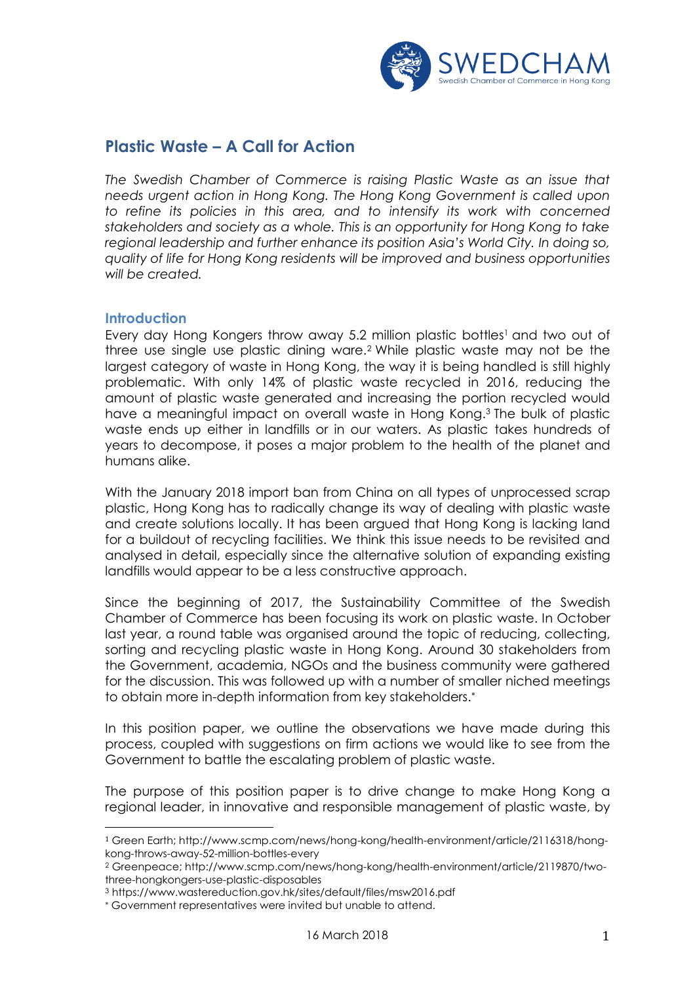

# **Plastic Waste – A Call for Action**

*The Swedish Chamber of Commerce is raising Plastic Waste as an issue that needs urgent action in Hong Kong. The Hong Kong Government is called upon*  to refine its policies in this area, and to intensify its work with concerned *stakeholders and society as a whole. This is an opportunity for Hong Kong to take regional leadership and further enhance its position Asia's World City. In doing so, quality of life for Hong Kong residents will be improved and business opportunities will be created.*

### **Introduction**

 $\overline{\phantom{a}}$ 

Every day Hong Kongers throw away 5.2 million plastic bottles<sup>1</sup> and two out of three use single use plastic dining ware.<sup>2</sup> While plastic waste may not be the largest category of waste in Hong Kong, the way it is being handled is still highly problematic. With only 14% of plastic waste recycled in 2016, reducing the amount of plastic waste generated and increasing the portion recycled would have a meaningful impact on overall waste in Hong Kong. <sup>3</sup> The bulk of plastic waste ends up either in landfills or in our waters. As plastic takes hundreds of years to decompose, it poses a major problem to the health of the planet and humans alike.

With the January 2018 import ban from China on all types of unprocessed scrap plastic, Hong Kong has to radically change its way of dealing with plastic waste and create solutions locally. It has been argued that Hong Kong is lacking land for a buildout of recycling facilities. We think this issue needs to be revisited and analysed in detail, especially since the alternative solution of expanding existing landfills would appear to be a less constructive approach.

Since the beginning of 2017, the Sustainability Committee of the Swedish Chamber of Commerce has been focusing its work on plastic waste. In October last year, a round table was organised around the topic of reducing, collecting, sorting and recycling plastic waste in Hong Kong. Around 30 stakeholders from the Government, academia, NGOs and the business community were gathered for the discussion. This was followed up with a number of smaller niched meetings to obtain more in-depth information from key stakeholders.

In this position paper, we outline the observations we have made during this process, coupled with suggestions on firm actions we would like to see from the Government to battle the escalating problem of plastic waste.

The purpose of this position paper is to drive change to make Hong Kong a regional leader, in innovative and responsible management of plastic waste, by

<sup>1</sup> Green Earth; http://www.scmp.com/news/hong-kong/health-environment/article/2116318/hongkong-throws-away-52-million-bottles-every

<sup>2</sup> Greenpeace; http://www.scmp.com/news/hong-kong/health-environment/article/2119870/twothree-hongkongers-use-plastic-disposables

<sup>3</sup> https://www.wastereduction.gov.hk/sites/default/files/msw2016.pdf

Government representatives were invited but unable to attend.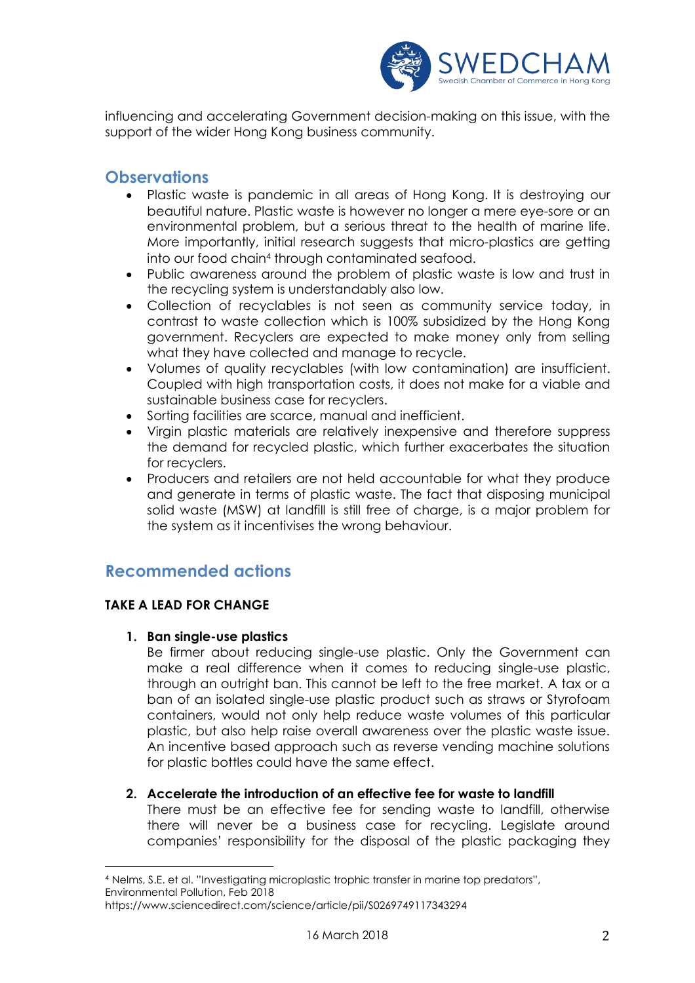

influencing and accelerating Government decision-making on this issue, with the support of the wider Hong Kong business community.

# **Observations**

- Plastic waste is pandemic in all areas of Hong Kong. It is destroying our beautiful nature. Plastic waste is however no longer a mere eye-sore or an environmental problem, but a serious threat to the health of marine life. More importantly, initial research suggests that micro-plastics are getting into our food chain<sup>4</sup> through contaminated seafood.
- Public awareness around the problem of plastic waste is low and trust in the recycling system is understandably also low.
- Collection of recyclables is not seen as community service today, in contrast to waste collection which is 100% subsidized by the Hong Kong government. Recyclers are expected to make money only from selling what they have collected and manage to recycle.
- Volumes of quality recyclables (with low contamination) are insufficient. Coupled with high transportation costs, it does not make for a viable and sustainable business case for recyclers.
- Sorting facilities are scarce, manual and inefficient.
- Virgin plastic materials are relatively inexpensive and therefore suppress the demand for recycled plastic, which further exacerbates the situation for recyclers.
- Producers and retailers are not held accountable for what they produce and generate in terms of plastic waste. The fact that disposing municipal solid waste (MSW) at landfill is still free of charge, is a major problem for the system as it incentivises the wrong behaviour.

# **Recommended actions**

# **TAKE A LEAD FOR CHANGE**

 $\overline{a}$ 

**1. Ban single-use plastics**

Be firmer about reducing single-use plastic. Only the Government can make a real difference when it comes to reducing single-use plastic, through an outright ban. This cannot be left to the free market. A tax or a ban of an isolated single-use plastic product such as straws or Styrofoam containers, would not only help reduce waste volumes of this particular plastic, but also help raise overall awareness over the plastic waste issue. An incentive based approach such as reverse vending machine solutions for plastic bottles could have the same effect.

# **2. Accelerate the introduction of an effective fee for waste to landfill**

There must be an effective fee for sending waste to landfill, otherwise there will never be a business case for recycling. Legislate around companies' responsibility for the disposal of the plastic packaging they

<sup>4</sup> Nelms, S.E. et al. "Investigating microplastic trophic transfer in marine top predators", Environmental Pollution, Feb 2018

https://www.sciencedirect.com/science/article/pii/S0269749117343294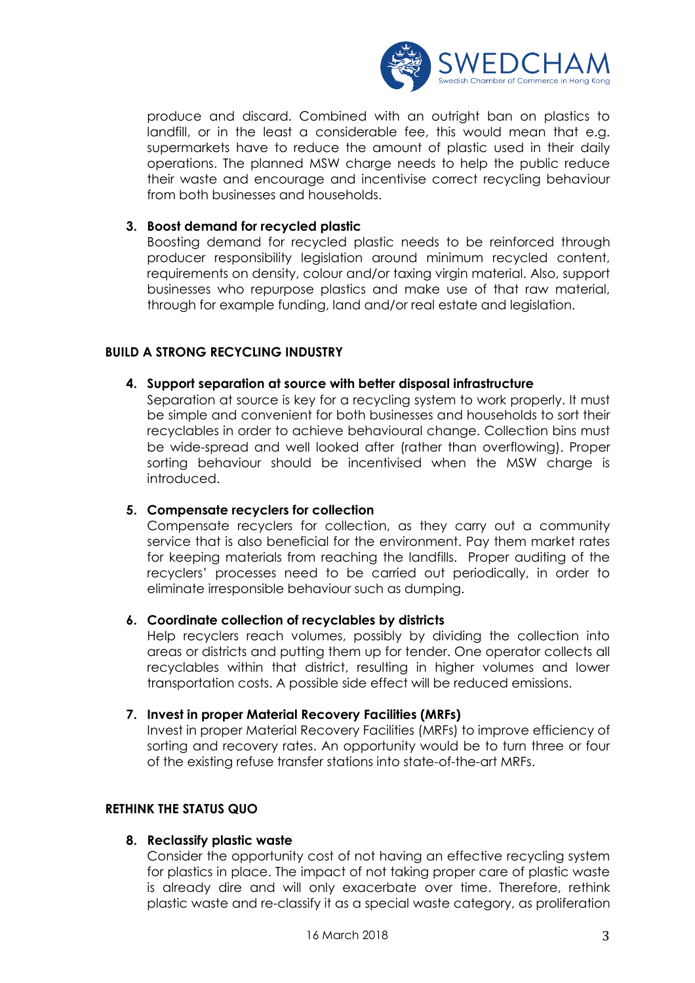

produce and discard. Combined with an outright ban on plastics to landfill, or in the least a considerable fee, this would mean that e.g. supermarkets have to reduce the amount of plastic used in their daily operations. The planned MSW charge needs to help the public reduce their waste and encourage and incentivise correct recycling behaviour from both businesses and households.

### **3. Boost demand for recycled plastic**

Boosting demand for recycled plastic needs to be reinforced through producer responsibility legislation around minimum recycled content, requirements on density, colour and/or taxing virgin material. Also, support businesses who repurpose plastics and make use of that raw material, through for example funding, land and/or real estate and legislation.

# **BUILD A STRONG RECYCLING INDUSTRY**

### **4. Support separation at source with better disposal infrastructure**

Separation at source is key for a recycling system to work properly. It must be simple and convenient for both businesses and households to sort their recyclables in order to achieve behavioural change. Collection bins must be wide-spread and well looked after (rather than overflowing). Proper sorting behaviour should be incentivised when the MSW charge is introduced.

#### **5. Compensate recyclers for collection**

Compensate recyclers for collection, as they carry out a community service that is also beneficial for the environment. Pay them market rates for keeping materials from reaching the landfills. Proper auditing of the recyclers' processes need to be carried out periodically, in order to eliminate irresponsible behaviour such as dumping.

#### **6. Coordinate collection of recyclables by districts**

Help recyclers reach volumes, possibly by dividing the collection into areas or districts and putting them up for tender. One operator collects all recyclables within that district, resulting in higher volumes and lower transportation costs. A possible side effect will be reduced emissions.

#### **7. Invest in proper Material Recovery Facilities (MRFs)**

Invest in proper Material Recovery Facilities (MRFs) to improve efficiency of sorting and recovery rates. An opportunity would be to turn three or four of the existing refuse transfer stations into state-of-the-art MRFs.

#### **RETHINK THE STATUS QUO**

#### **8. Reclassify plastic waste**

Consider the opportunity cost of not having an effective recycling system for plastics in place. The impact of not taking proper care of plastic waste is already dire and will only exacerbate over time. Therefore, rethink plastic waste and re-classify it as a special waste category, as proliferation